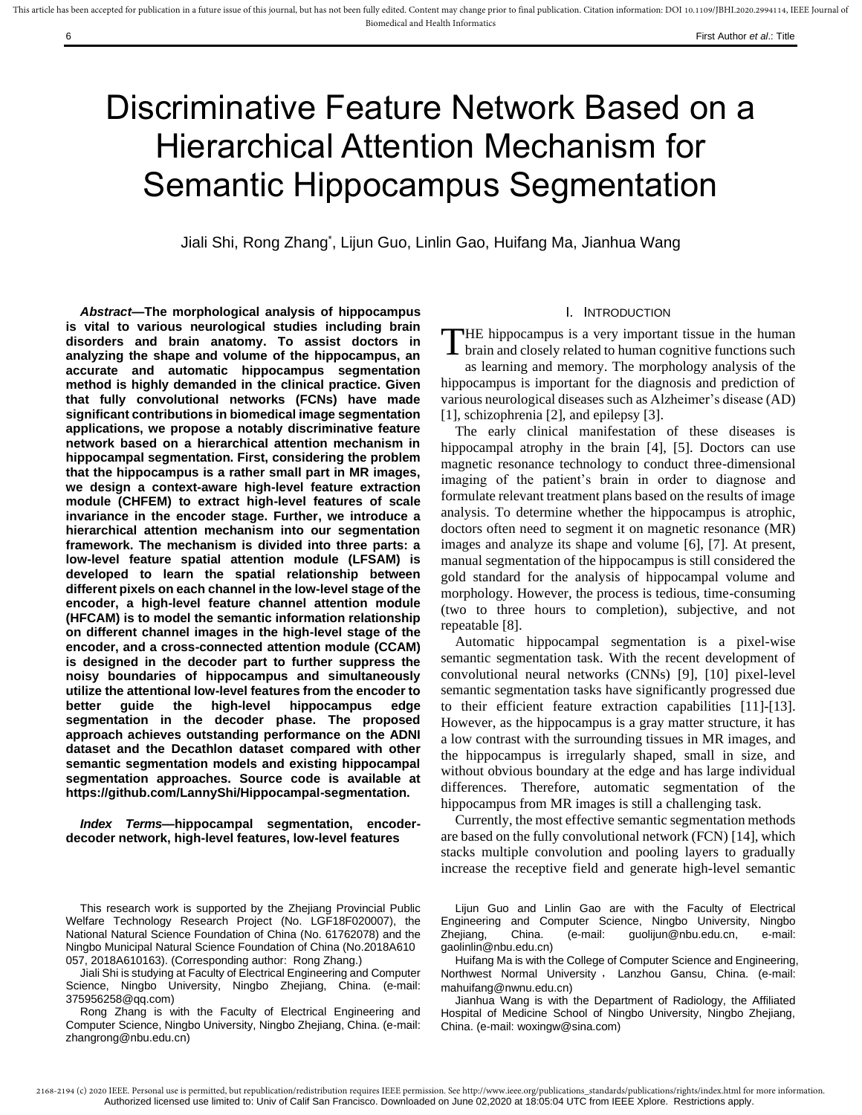# Discriminative Feature Network Based on a Hierarchical Attention Mechanism for Semantic Hippocampus Segmentation

Jiali Shi, Rong Zhang<sup>\*</sup>, Lijun Guo, Linlin Gao, Huifang Ma, Jianhua Wang

*Abstract***—The morphological analysis of hippocampus is vital to various neurological studies including brain disorders and brain anatomy. To assist doctors in analyzing the shape and volume of the hippocampus, an accurate and automatic hippocampus segmentation method is highly demanded in the clinical practice. Given that fully convolutional networks (FCNs) have made significant contributions in biomedical image segmentation applications, we propose a notably discriminative feature network based on a hierarchical attention mechanism in hippocampal segmentation. First, considering the problem that the hippocampus is a rather small part in MR images, we design a context-aware high-level feature extraction module (CHFEM) to extract high-level features of scale invariance in the encoder stage. Further, we introduce a hierarchical attention mechanism into our segmentation framework. The mechanism is divided into three parts: a low-level feature spatial attention module (LFSAM) is developed to learn the spatial relationship between different pixels on each channel in the low-level stage of the encoder, a high-level feature channel attention module (HFCAM) is to model the semantic information relationship on different channel images in the high-level stage of the encoder, and a cross-connected attention module (CCAM) is designed in the decoder part to further suppress the noisy boundaries of hippocampus and simultaneously utilize the attentional low-level features from the encoder to better guide the high-level hippocampus edge segmentation in the decoder phase. The proposed approach achieves outstanding performance on the ADNI dataset and the Decathlon dataset compared with other semantic segmentation models and existing hippocampal segmentation approaches. Source code is available at https://github.com/LannyShi/Hippocampal-segmentation.**

*Index Terms***—hippocampal segmentation, encoderdecoder network, high-level features, low-level features**

Jiali Shi is studying at Faculty of Electrical Engineering and Computer Science, Ningbo University, Ningbo Zhejiang, China. (e-mail: 375956258@qq.com)

Rong Zhang is with the Faculty of Electrical Engineering and Computer Science, Ningbo University, Ningbo Zhejiang, China. (e-mail: zhangrong@nbu.edu.cn)

## I. INTRODUCTION

**THE** hippocampus is a very important tissue in the human THE hippocampus is a very important tissue in the human brain and closely related to human cognitive functions such as learning and memory. The morphology analysis of the hippocampus is important for the diagnosis and prediction of various neurological diseases such as Alzheimer's disease (AD) [1], schizophrenia [2], and epilepsy [3].

The early clinical manifestation of these diseases is hippocampal atrophy in the brain [4], [5]. Doctors can use magnetic resonance technology to conduct three-dimensional imaging of the patient's brain in order to diagnose and formulate relevant treatment plans based on the results of image analysis. To determine whether the hippocampus is atrophic, doctors often need to segment it on magnetic resonance (MR) images and analyze its shape and volume [6], [7]. At present, manual segmentation of the hippocampus is still considered the gold standard for the analysis of hippocampal volume and morphology. However, the process is tedious, time-consuming (two to three hours to completion), subjective, and not repeatable [8].

Automatic hippocampal segmentation is a pixel-wise semantic segmentation task. With the recent development of convolutional neural networks (CNNs) [9], [10] pixel-level semantic segmentation tasks have significantly progressed due to their efficient feature extraction capabilities [11]-[13]. However, as the hippocampus is a gray matter structure, it has a low contrast with the surrounding tissues in MR images, and the hippocampus is irregularly shaped, small in size, and without obvious boundary at the edge and has large individual differences. Therefore, automatic segmentation of the hippocampus from MR images is still a challenging task.

Currently, the most effective semantic segmentation methods are based on the fully convolutional network (FCN) [14], which stacks multiple convolution and pooling layers to gradually increase the receptive field and generate high-level semantic

Lijun Guo and Linlin Gao are with the Faculty of Electrical Engineering and Computer Science, Ningbo University, Ningbo Zhejiang, China. (e-mail: guolijun@nbu.edu.cn, e-mail: gaolinlin@nbu.edu.cn)

Huifang Ma is with the College of Computer Science and Engineering, Northwest Normal University , Lanzhou Gansu, China. (e-mail: mahuifang@nwnu.edu.cn)

Jianhua Wang is with the Department of Radiology, the Affiliated Hospital of Medicine School of Ningbo University, Ningbo Zhejiang, China. (e-mail: woxingw@sina.com)

This research work is supported by the Zhejiang Provincial Public Welfare Technology Research Project (No. LGF18F020007), the National Natural Science Foundation of China (No. 61762078) and the Ningbo Municipal Natural Science Foundation of China (No.2018A610 057, 2018A610163). (Corresponding author: Rong Zhang.)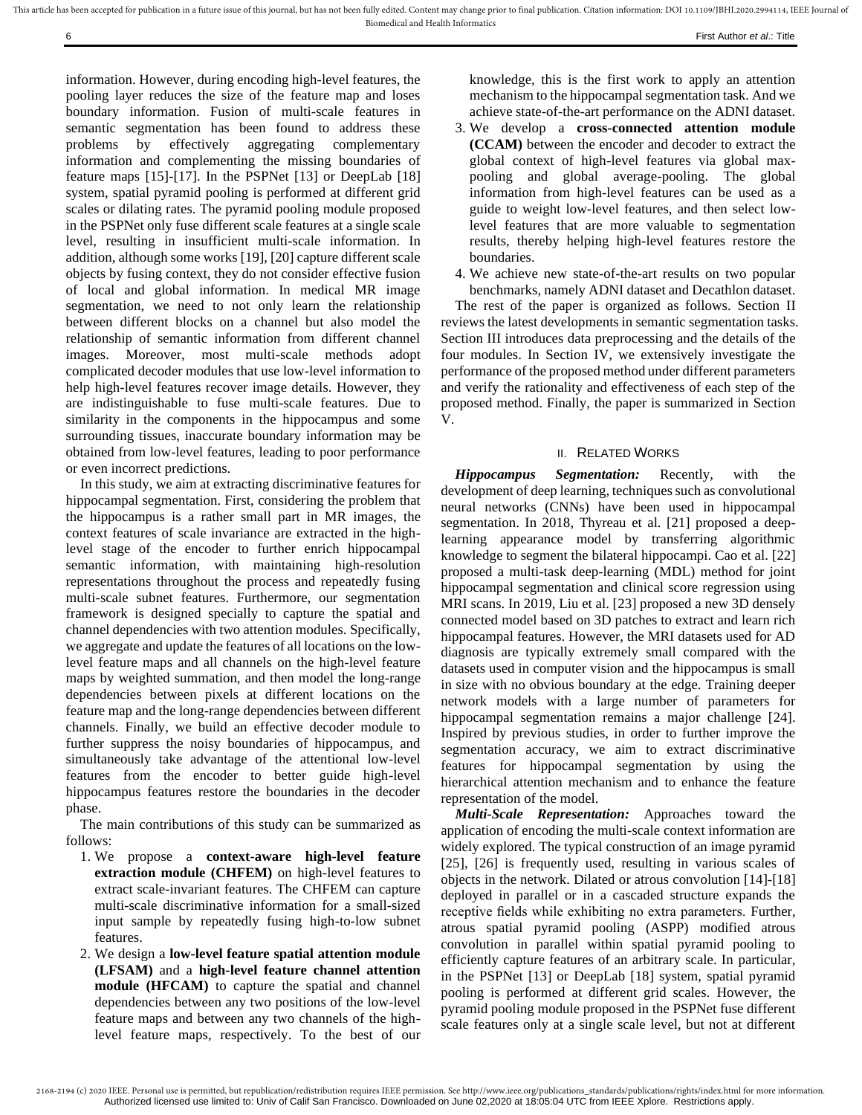This article has been accepted for publication in a future issue of this journal, but has not been fully edited. Content may change prior to final publication. Citation information: DOI 10.1109/JBHI.2020.2994114, IEEE Jour Biomedical and Health Informatics

information. However, during encoding high-level features, the pooling layer reduces the size of the feature map and loses boundary information. Fusion of multi-scale features in semantic segmentation has been found to address these problems by effectively aggregating complementary information and complementing the missing boundaries of feature maps [15]-[17]. In the PSPNet [13] or DeepLab [18] system, spatial pyramid pooling is performed at different grid scales or dilating rates. The pyramid pooling module proposed in the PSPNet only fuse different scale features at a single scale level, resulting in insufficient multi-scale information. In addition, although some works [19], [20] capture different scale

objects by fusing context, they do not consider effective fusion of local and global information. In medical MR image segmentation, we need to not only learn the relationship between different blocks on a channel but also model the relationship of semantic information from different channel images. Moreover, most multi-scale methods adopt complicated decoder modules that use low-level information to help high-level features recover image details. However, they are indistinguishable to fuse multi-scale features. Due to similarity in the components in the hippocampus and some surrounding tissues, inaccurate boundary information may be obtained from low-level features, leading to poor performance or even incorrect predictions.

In this study, we aim at extracting discriminative features for hippocampal segmentation. First, considering the problem that the hippocampus is a rather small part in MR images, the context features of scale invariance are extracted in the highlevel stage of the encoder to further enrich hippocampal semantic information, with maintaining high-resolution representations throughout the process and repeatedly fusing multi-scale subnet features. Furthermore, our segmentation framework is designed specially to capture the spatial and channel dependencies with two attention modules. Specifically, we aggregate and update the features of all locations on the lowlevel feature maps and all channels on the high-level feature maps by weighted summation, and then model the long-range dependencies between pixels at different locations on the feature map and the long-range dependencies between different channels. Finally, we build an effective decoder module to further suppress the noisy boundaries of hippocampus, and simultaneously take advantage of the attentional low-level features from the encoder to better guide high-level hippocampus features restore the boundaries in the decoder phase.

The main contributions of this study can be summarized as follows:

- 1. We propose a **context-aware high-level feature extraction module (CHFEM)** on high-level features to extract scale-invariant features. The CHFEM can capture multi-scale discriminative information for a small-sized input sample by repeatedly fusing high-to-low subnet features.
- 2. We design a **low-level feature spatial attention module (LFSAM)** and a **high-level feature channel attention module (HFCAM)** to capture the spatial and channel dependencies between any two positions of the low-level feature maps and between any two channels of the highlevel feature maps, respectively. To the best of our

knowledge, this is the first work to apply an attention mechanism to the hippocampal segmentation task. And we achieve state-of-the-art performance on the ADNI dataset.

- 3. We develop a **cross-connected attention module (CCAM)** between the encoder and decoder to extract the global context of high-level features via global maxpooling and global average-pooling. The global information from high-level features can be used as a guide to weight low-level features, and then select lowlevel features that are more valuable to segmentation results, thereby helping high-level features restore the boundaries.
- 4. We achieve new state-of-the-art results on two popular benchmarks, namely ADNI dataset and Decathlon dataset.

The rest of the paper is organized as follows. Section II reviews the latest developments in semantic segmentation tasks. Section III introduces data preprocessing and the details of the four modules. In Section IV, we extensively investigate the performance of the proposed method under different parameters and verify the rationality and effectiveness of each step of the proposed method. Finally, the paper is summarized in Section V.

#### II. RELATED WORKS

*Hippocampus Segmentation:* Recently, with the development of deep learning, techniques such as convolutional neural networks (CNNs) have been used in hippocampal segmentation. In 2018, Thyreau et al. [21] proposed a deeplearning appearance model by transferring algorithmic knowledge to segment the bilateral hippocampi. Cao et al. [22] proposed a multi-task deep-learning (MDL) method for joint hippocampal segmentation and clinical score regression using MRI scans. In 2019, Liu et al. [23] proposed a new 3D densely connected model based on 3D patches to extract and learn rich hippocampal features. However, the MRI datasets used for AD diagnosis are typically extremely small compared with the datasets used in computer vision and the hippocampus is small in size with no obvious boundary at the edge. Training deeper network models with a large number of parameters for hippocampal segmentation remains a major challenge [24]. Inspired by previous studies, in order to further improve the segmentation accuracy, we aim to extract discriminative features for hippocampal segmentation by using the hierarchical attention mechanism and to enhance the feature representation of the model.

*Multi-Scale Representation:* Approaches toward the application of encoding the multi-scale context information are widely explored. The typical construction of an image pyramid [25], [26] is frequently used, resulting in various scales of objects in the network. Dilated or atrous convolution [14]-[18] deployed in parallel or in a cascaded structure expands the receptive fields while exhibiting no extra parameters. Further, atrous spatial pyramid pooling (ASPP) modified atrous convolution in parallel within spatial pyramid pooling to efficiently capture features of an arbitrary scale. In particular, in the PSPNet [13] or DeepLab [18] system, spatial pyramid pooling is performed at different grid scales. However, the pyramid pooling module proposed in the PSPNet fuse different scale features only at a single scale level, but not at different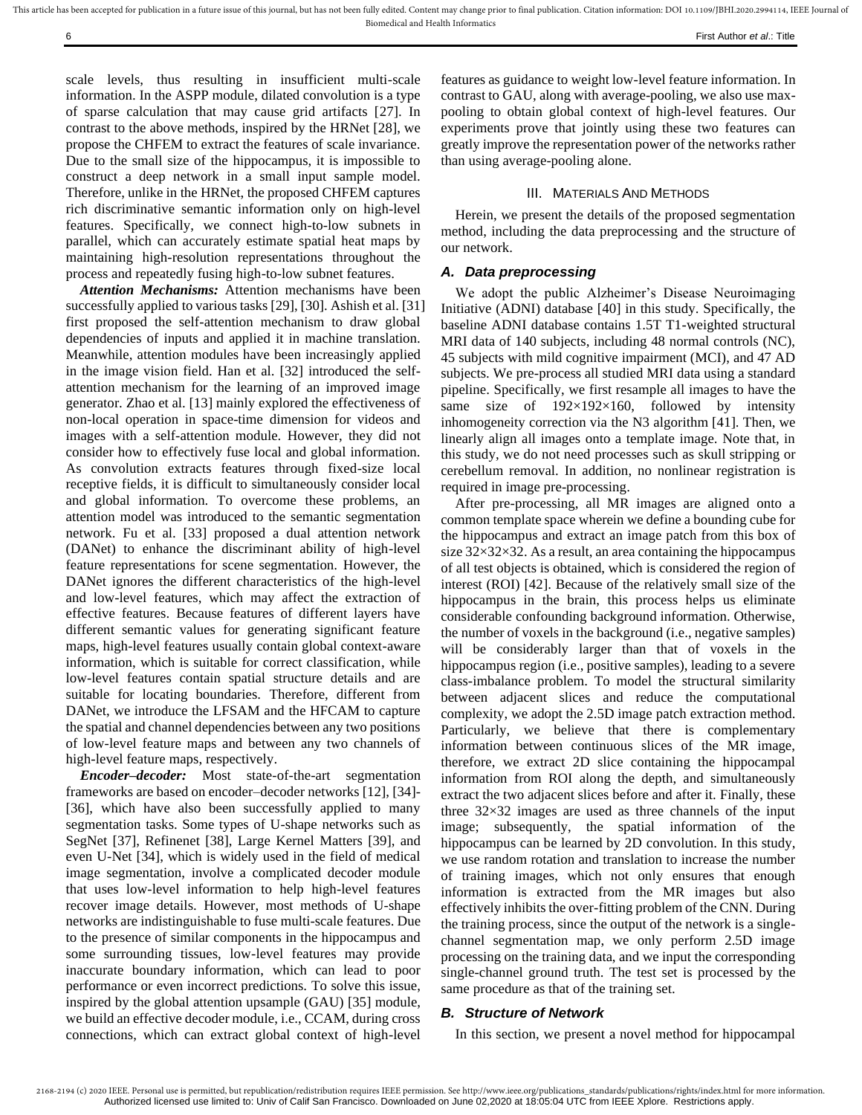This article has been accepted for publication in a future issue of this journal, but has not been fully edited. Content may change prior to final publication. Citation information: DOI 10.1109/JBHI.2020.2994114, IEEE Jour Biomedical and Health Informatics

scale levels, thus resulting in insufficient multi-scale information. In the ASPP module, dilated convolution is a type of sparse calculation that may cause grid artifacts [27]. In contrast to the above methods, inspired by the HRNet [28], we propose the CHFEM to extract the features of scale invariance. Due to the small size of the hippocampus, it is impossible to construct a deep network in a small input sample model. Therefore, unlike in the HRNet, the proposed CHFEM captures rich discriminative semantic information only on high-level features. Specifically, we connect high-to-low subnets in parallel, which can accurately estimate spatial heat maps by maintaining high-resolution representations throughout the process and repeatedly fusing high-to-low subnet features.

*Attention Mechanisms:* Attention mechanisms have been successfully applied to various tasks [29], [30]. Ashish et al. [31] first proposed the self-attention mechanism to draw global dependencies of inputs and applied it in machine translation. Meanwhile, attention modules have been increasingly applied in the image vision field. Han et al. [32] introduced the selfattention mechanism for the learning of an improved image generator. Zhao et al. [13] mainly explored the effectiveness of non-local operation in space-time dimension for videos and images with a self-attention module. However, they did not consider how to effectively fuse local and global information. As convolution extracts features through fixed-size local receptive fields, it is difficult to simultaneously consider local and global information. To overcome these problems, an attention model was introduced to the semantic segmentation network. Fu et al. [33] proposed a dual attention network (DANet) to enhance the discriminant ability of high-level feature representations for scene segmentation. However, the DANet ignores the different characteristics of the high-level and low-level features, which may affect the extraction of effective features. Because features of different layers have different semantic values for generating significant feature maps, high-level features usually contain global context-aware information, which is suitable for correct classification, while low-level features contain spatial structure details and are suitable for locating boundaries. Therefore, different from DANet, we introduce the LFSAM and the HFCAM to capture the spatial and channel dependencies between any two positions of low-level feature maps and between any two channels of high-level feature maps, respectively.

*Encoder–decoder:* Most state-of-the-art segmentation frameworks are based on encoder–decoder networks [12], [34]- [36], which have also been successfully applied to many segmentation tasks. Some types of U-shape networks such as SegNet [37], Refinenet [38], Large Kernel Matters [39], and even U-Net [34], which is widely used in the field of medical image segmentation, involve a complicated decoder module that uses low-level information to help high-level features recover image details. However, most methods of U-shape networks are indistinguishable to fuse multi-scale features. Due to the presence of similar components in the hippocampus and some surrounding tissues, low-level features may provide inaccurate boundary information, which can lead to poor performance or even incorrect predictions. To solve this issue, inspired by the global attention upsample (GAU) [35] module, we build an effective decoder module, i.e., CCAM, during cross connections, which can extract global context of high-level features as guidance to weight low-level feature information. In contrast to GAU, along with average-pooling, we also use maxpooling to obtain global context of high-level features. Our experiments prove that jointly using these two features can greatly improve the representation power of the networks rather than using average-pooling alone.

# III. MATERIALS AND METHODS

Herein, we present the details of the proposed segmentation method, including the data preprocessing and the structure of our network.

# *A. Data preprocessing*

We adopt the public Alzheimer's Disease Neuroimaging Initiative (ADNI) database [40] in this study. Specifically, the baseline ADNI database contains 1.5T T1-weighted structural MRI data of 140 subjects, including 48 normal controls (NC), 45 subjects with mild cognitive impairment (MCI), and 47 AD subjects. We pre-process all studied MRI data using a standard pipeline. Specifically, we first resample all images to have the same size of  $192\times192\times160$ , followed by intensity inhomogeneity correction via the N3 algorithm [41]. Then, we linearly align all images onto a template image. Note that, in this study, we do not need processes such as skull stripping or cerebellum removal. In addition, no nonlinear registration is required in image pre-processing.

After pre-processing, all MR images are aligned onto a common template space wherein we define a bounding cube for the hippocampus and extract an image patch from this box of size  $32\times32\times32$ . As a result, an area containing the hippocampus of all test objects is obtained, which is considered the region of interest (ROI) [42]. Because of the relatively small size of the hippocampus in the brain, this process helps us eliminate considerable confounding background information. Otherwise, the number of voxels in the background (i.e., negative samples) will be considerably larger than that of voxels in the hippocampus region (i.e., positive samples), leading to a severe class-imbalance problem. To model the structural similarity between adjacent slices and reduce the computational complexity, we adopt the 2.5D image patch extraction method. Particularly, we believe that there is complementary information between continuous slices of the MR image, therefore, we extract 2D slice containing the hippocampal information from ROI along the depth, and simultaneously extract the two adjacent slices before and after it. Finally, these three 32×32 images are used as three channels of the input image; subsequently, the spatial information of the hippocampus can be learned by 2D convolution. In this study, we use random rotation and translation to increase the number of training images, which not only ensures that enough information is extracted from the MR images but also effectively inhibits the over-fitting problem of the CNN. During the training process, since the output of the network is a singlechannel segmentation map, we only perform 2.5D image processing on the training data, and we input the corresponding single-channel ground truth. The test set is processed by the same procedure as that of the training set.

# *B. Structure of Network*

In this section, we present a novel method for hippocampal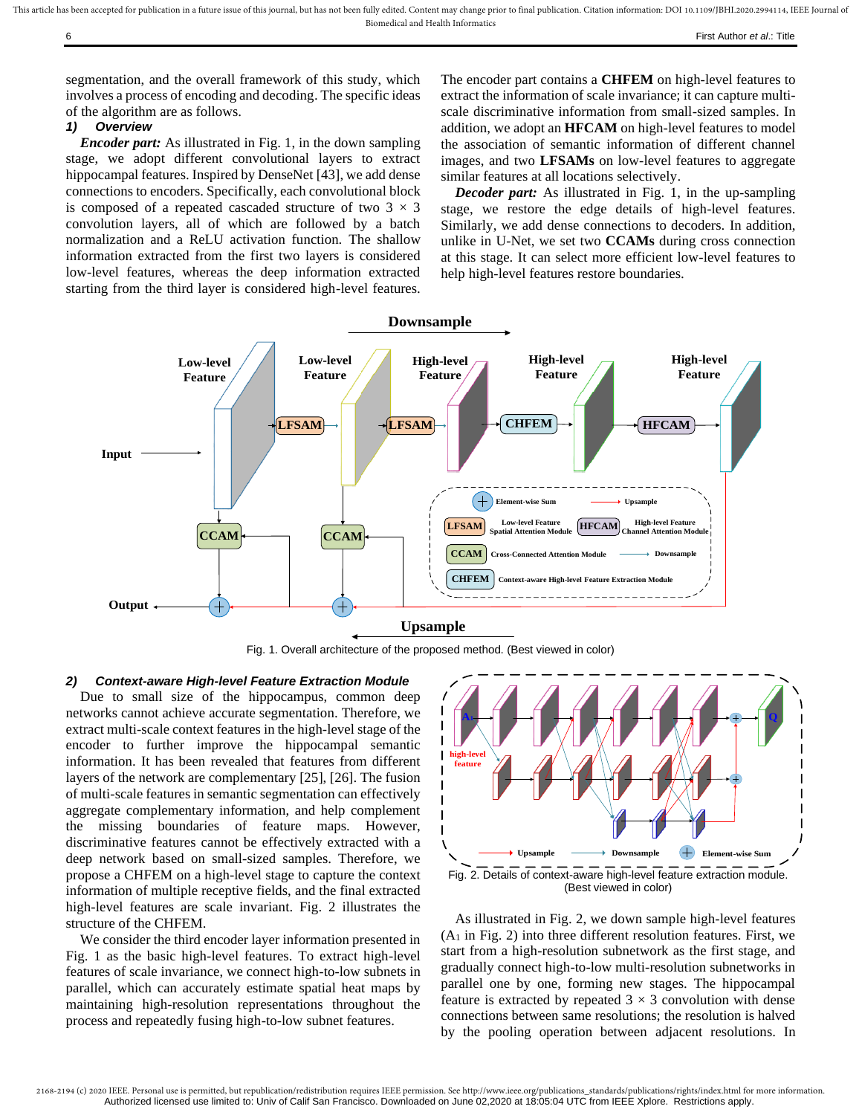segmentation, and the overall framework of this study, which involves a process of encoding and decoding. The specific ideas of the algorithm are as follows.

## *1) Overview*

*Encoder part:* As illustrated in Fig. 1, in the down sampling stage, we adopt different convolutional layers to extract hippocampal features. Inspired by DenseNet [43], we add dense connections to encoders. Specifically, each convolutional block is composed of a repeated cascaded structure of two  $3 \times 3$ convolution layers, all of which are followed by a batch normalization and a ReLU activation function. The shallow information extracted from the first two layers is considered low-level features, whereas the deep information extracted starting from the third layer is considered high-level features.

The encoder part contains a **CHFEM** on high-level features to extract the information of scale invariance; it can capture multiscale discriminative information from small-sized samples. In addition, we adopt an **HFCAM** on high-level features to model the association of semantic information of different channel images, and two **LFSAMs** on low-level features to aggregate similar features at all locations selectively.

*Decoder part:* As illustrated in Fig. 1, in the up-sampling stage, we restore the edge details of high-level features. Similarly, we add dense connections to decoders. In addition, unlike in U-Net, we set two **CCAMs** during cross connection at this stage. It can select more efficient low-level features to help high-level features restore boundaries.



Fig. 1. Overall architecture of the proposed method. (Best viewed in color)

#### *2) Context-aware High-level Feature Extraction Module*

Due to small size of the hippocampus, common deep networks cannot achieve accurate segmentation. Therefore, we extract multi-scale context features in the high-level stage of the encoder to further improve the hippocampal semantic information. It has been revealed that features from different layers of the network are complementary [25], [26]. The fusion of multi-scale features in semantic segmentation can effectively aggregate complementary information, and help complement the missing boundaries of feature maps. However, discriminative features cannot be effectively extracted with a deep network based on small-sized samples. Therefore, we propose a CHFEM on a high-level stage to capture the context information of multiple receptive fields, and the final extracted high-level features are scale invariant. Fig. 2 illustrates the structure of the CHFEM.

We consider the third encoder layer information presented in Fig. 1 as the basic high-level features. To extract high-level features of scale invariance, we connect high-to-low subnets in parallel, which can accurately estimate spatial heat maps by maintaining high-resolution representations throughout the process and repeatedly fusing high-to-low subnet features.



As illustrated in Fig. 2, we down sample high-level features  $(A<sub>1</sub>$  in Fig. 2) into three different resolution features. First, we start from a high-resolution subnetwork as the first stage, and gradually connect high-to-low multi-resolution subnetworks in parallel one by one, forming new stages. The hippocampal feature is extracted by repeated  $3 \times 3$  convolution with dense connections between same resolutions; the resolution is halved by the pooling operation between adjacent resolutions. In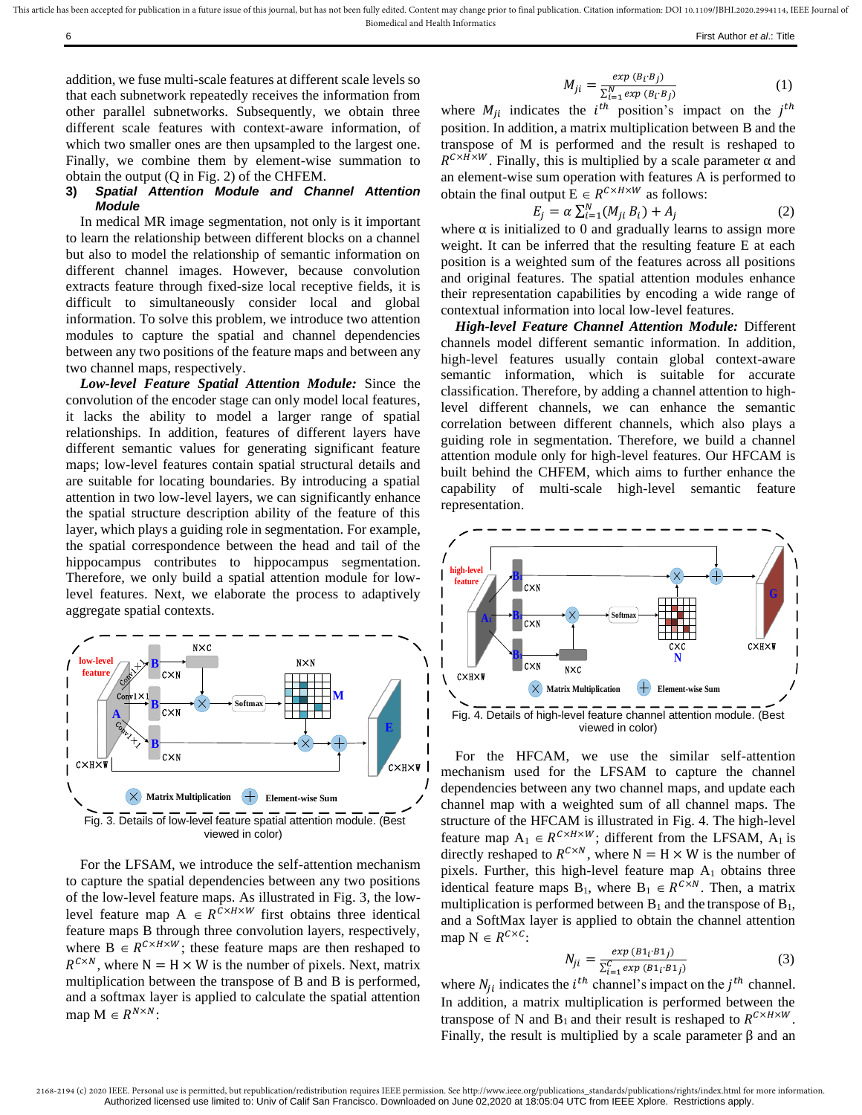This article has been accepted for publication in a future issue of this journal, but has not been fully edited. Content may change prior to final publication. Citation information: DOI 10.1109/JBHI.2020.2994114, IEEE Jour Biomedical and Health Informatics

addition, we fuse multi-scale features at different scale levels so that each subnetwork repeatedly receives the information from other parallel subnetworks. Subsequently, we obtain three different scale features with context-aware information, of which two smaller ones are then upsampled to the largest one. Finally, we combine them by element-wise summation to obtain the output (Q in Fig. 2) of the CHFEM.

## **3)** *Spatial Attention Module and Channel Attention Module*

In medical MR image segmentation, not only is it important to learn the relationship between different blocks on a channel but also to model the relationship of semantic information on different channel images. However, because convolution extracts feature through fixed-size local receptive fields, it is difficult to simultaneously consider local and global information. To solve this problem, we introduce two attention modules to capture the spatial and channel dependencies between any two positions of the feature maps and between any two channel maps, respectively.

*Low-level Feature Spatial Attention Module:* Since the convolution of the encoder stage can only model local features, it lacks the ability to model a larger range of spatial relationships. In addition, features of different layers have different semantic values for generating significant feature maps; low-level features contain spatial structural details and are suitable for locating boundaries. By introducing a spatial attention in two low-level layers, we can significantly enhance the spatial structure description ability of the feature of this layer, which plays a guiding role in segmentation. For example, the spatial correspondence between the head and tail of the hippocampus contributes to hippocampus segmentation. Therefore, we only build a spatial attention module for lowlevel features. Next, we elaborate the process to adaptively aggregate spatial contexts.



For the LFSAM, we introduce the self-attention mechanism to capture the spatial dependencies between any two positions of the low-level feature maps. As illustrated in Fig. 3, the lowlevel feature map  $A \in R^{C \times H \times W}$  first obtains three identical feature maps B through three convolution layers, respectively, where  $B \in R^{C \times H \times W}$ ; these feature maps are then reshaped to  $R^{C\times N}$ , where N = H  $\times$  W is the number of pixels. Next, matrix multiplication between the transpose of B and B is performed, and a softmax layer is applied to calculate the spatial attention map  $M \in R^{N \times N}$ :

$$
M_{ji} = \frac{\exp (B_i B_j)}{\sum_{i=1}^{N} \exp (B_i B_j)}
$$
(1)

where  $M_{ji}$  indicates the  $i^{th}$  position's impact on the  $j^{th}$ position. In addition, a matrix multiplication between B and the transpose of M is performed and the result is reshaped to  $R^{C \times H \times W}$ . Finally, this is multiplied by a scale parameter  $\alpha$  and an element-wise sum operation with features A is performed to obtain the final output  $E \in R^{C \times H \times W}$  as follows:

$$
E_j = \alpha \sum_{i=1}^N (M_{ji} B_i) + A_j \tag{2}
$$

where  $\alpha$  is initialized to 0 and gradually learns to assign more weight. It can be inferred that the resulting feature E at each position is a weighted sum of the features across all positions and original features. The spatial attention modules enhance their representation capabilities by encoding a wide range of contextual information into local low-level features.

*High-level Feature Channel Attention Module:* Different channels model different semantic information. In addition, high-level features usually contain global context-aware semantic information, which is suitable for accurate classification. Therefore, by adding a channel attention to highlevel different channels, we can enhance the semantic correlation between different channels, which also plays a guiding role in segmentation. Therefore, we build a channel attention module only for high-level features. Our HFCAM is built behind the CHFEM, which aims to further enhance the capability of multi-scale high-level semantic feature representation.



For the HFCAM, we use the similar self-attention mechanism used for the LFSAM to capture the channel dependencies between any two channel maps, and update each channel map with a weighted sum of all channel maps. The structure of the HFCAM is illustrated in Fig. 4. The high-level feature map  $A_1 \in R^{C \times H \times W}$ ; different from the LFSAM,  $A_1$  is directly reshaped to  $R^{C \times N}$ , where N = H  $\times$  W is the number of pixels. Further, this high-level feature map  $A_1$  obtains three identical feature maps  $B_1$ , where  $B_1 \in R^{C \times N}$ . Then, a matrix multiplication is performed between  $B_1$  and the transpose of  $B_1$ , and a SoftMax layer is applied to obtain the channel attention map  $N \in R^{C \times C}$ :

$$
N_{ji} = \frac{\exp (B1_i B1_j)}{\sum_{i=1}^{C} \exp (B1_i B1_j)}
$$
(3)

where  $N_{ji}$  indicates the *i*<sup>th</sup> channel's impact on the *j*<sup>th</sup> channel. In addition, a matrix multiplication is performed between the transpose of N and  $B_1$  and their result is reshaped to  $R^{C \times H \times W}$ . Finally, the result is multiplied by a scale parameter β and an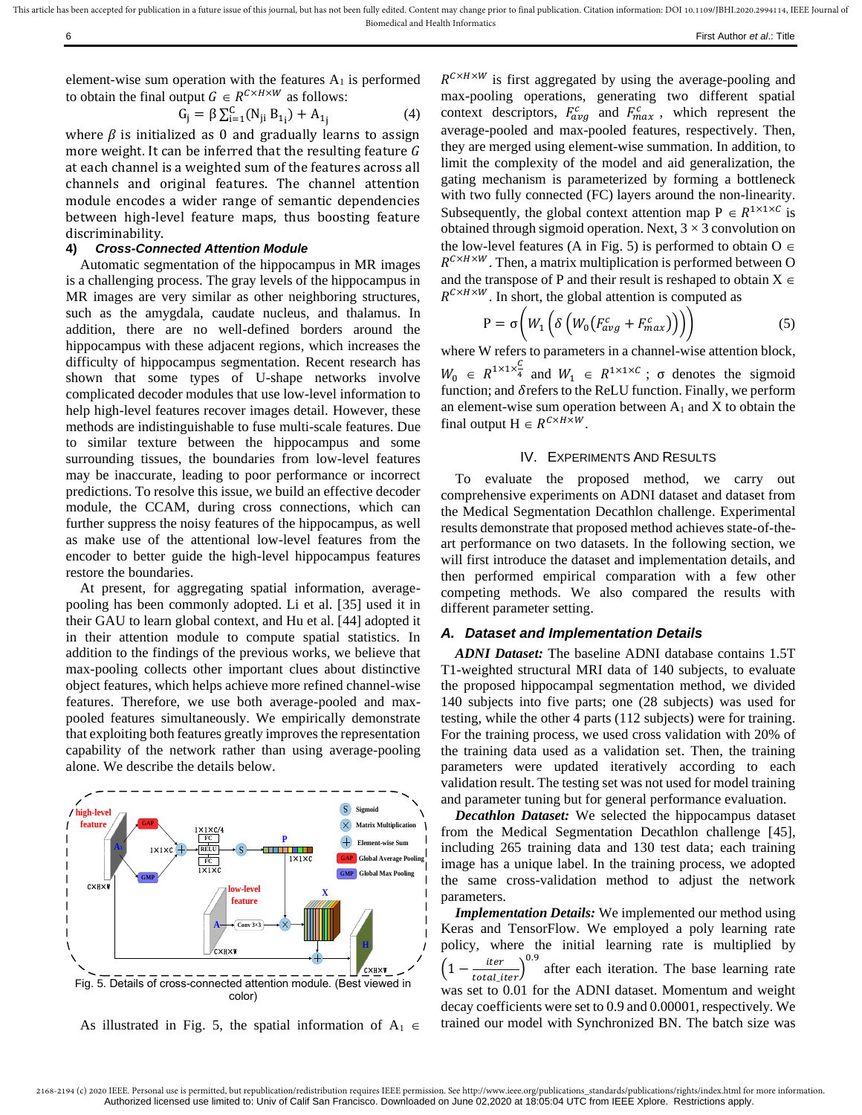element-wise sum operation with the features  $A_1$  is performed to obtain the final output  $G \in R^{C \times H \times W}$  as follows:

$$
G_j = \beta \sum_{i=1}^{C} (N_{ji} B_{1i}) + A_{1j}
$$
 (4)

where  $\beta$  is initialized as 0 and gradually learns to assign more weight. It can be inferred that the resulting feature  $G$ at each channel is a weighted sum of the features across all channels and original features. The channel attention module encodes a wider range of semantic dependencies between high-level feature maps, thus boosting feature discriminability.

## **4)** *Cross-Connected Attention Module*

Automatic segmentation of the hippocampus in MR images is a challenging process. The gray levels of the hippocampus in MR images are very similar as other neighboring structures, such as the amygdala, caudate nucleus, and thalamus. In addition, there are no well-defined borders around the hippocampus with these adjacent regions, which increases the difficulty of hippocampus segmentation. Recent research has shown that some types of U-shape networks involve complicated decoder modules that use low-level information to help high-level features recover images detail. However, these methods are indistinguishable to fuse multi-scale features. Due to similar texture between the hippocampus and some surrounding tissues, the boundaries from low-level features may be inaccurate, leading to poor performance or incorrect predictions. To resolve this issue, we build an effective decoder module, the CCAM, during cross connections, which can further suppress the noisy features of the hippocampus, as well as make use of the attentional low-level features from the encoder to better guide the high-level hippocampus features restore the boundaries.

At present, for aggregating spatial information, averagepooling has been commonly adopted. Li et al. [35] used it in their GAU to learn global context, and Hu et al. [44] adopted it in their attention module to compute spatial statistics. In addition to the findings of the previous works, we believe that max-pooling collects other important clues about distinctive object features, which helps achieve more refined channel-wise features. Therefore, we use both average-pooled and maxpooled features simultaneously. We empirically demonstrate that exploiting both features greatly improves the representation capability of the network rather than using average-pooling alone. We describe the details below.



As illustrated in Fig. 5, the spatial information of  $A_1 \in$ 

 $R^{C \times H \times W}$  is first aggregated by using the average-pooling and max-pooling operations, generating two different spatial context descriptors,  $F_{avg}^c$  and  $F_{max}^c$ , which represent the average-pooled and max-pooled features, respectively. Then, they are merged using element-wise summation. In addition, to limit the complexity of the model and aid generalization, the gating mechanism is parameterized by forming a bottleneck with two fully connected (FC) layers around the non-linearity. Subsequently, the global context attention map  $P \in R^{1 \times 1 \times C}$  is obtained through sigmoid operation. Next,  $3 \times 3$  convolution on the low-level features (A in Fig. 5) is performed to obtain  $O \in$  $R^{C \times H \times W}$ . Then, a matrix multiplication is performed between O and the transpose of P and their result is reshaped to obtain  $X \in$  $R^{C \times H \times W}$ . In short, the global attention is computed as

$$
P = \sigma \left( W_1 \left( \delta \left( W_0 \left( F_{avg}^c + F_{max}^c \right) \right) \right) \right) \tag{5}
$$

where W refers to parameters in a channel-wise attention block,  $W_0 \in R^{1 \times 1 \times \frac{C}{4}}$  and  $W_1 \in R^{1 \times 1 \times C}$ ;  $\sigma$  denotes the sigmoid function; and  $\delta$ refers to the ReLU function. Finally, we perform an element-wise sum operation between  $A_1$  and  $X$  to obtain the final output  $H \in R^{C \times H \times W}$ .

#### IV. EXPERIMENTS AND RESULTS

To evaluate the proposed method, we carry out comprehensive experiments on ADNI dataset and dataset from the Medical Segmentation Decathlon challenge. Experimental results demonstrate that proposed method achieves state-of-theart performance on two datasets. In the following section, we will first introduce the dataset and implementation details, and then performed empirical comparation with a few other competing methods. We also compared the results with different parameter setting.

### *A. Dataset and Implementation Details*

*ADNI Dataset:* The baseline ADNI database contains 1.5T T1-weighted structural MRI data of 140 subjects, to evaluate the proposed hippocampal segmentation method, we divided 140 subjects into five parts; one (28 subjects) was used for testing, while the other 4 parts (112 subjects) were for training. For the training process, we used cross validation with 20% of the training data used as a validation set. Then, the training parameters were updated iteratively according to each validation result. The testing set was not used for model training and parameter tuning but for general performance evaluation.

*Decathlon Dataset:* We selected the hippocampus dataset from the Medical Segmentation Decathlon challenge [45], including 265 training data and 130 test data; each training image has a unique label. In the training process, we adopted the same cross-validation method to adjust the network parameters.

*Implementation Details:* We implemented our method using Keras and TensorFlow. We employed a poly learning rate policy, where the initial learning rate is multiplied by  $(1$ iter  $\setminus^{0.9}$ total\_iter after each iteration. The base learning rate was set to 0.01 for the ADNI dataset. Momentum and weight decay coefficients were set to 0.9 and 0.00001, respectively. We trained our model with Synchronized BN. The batch size was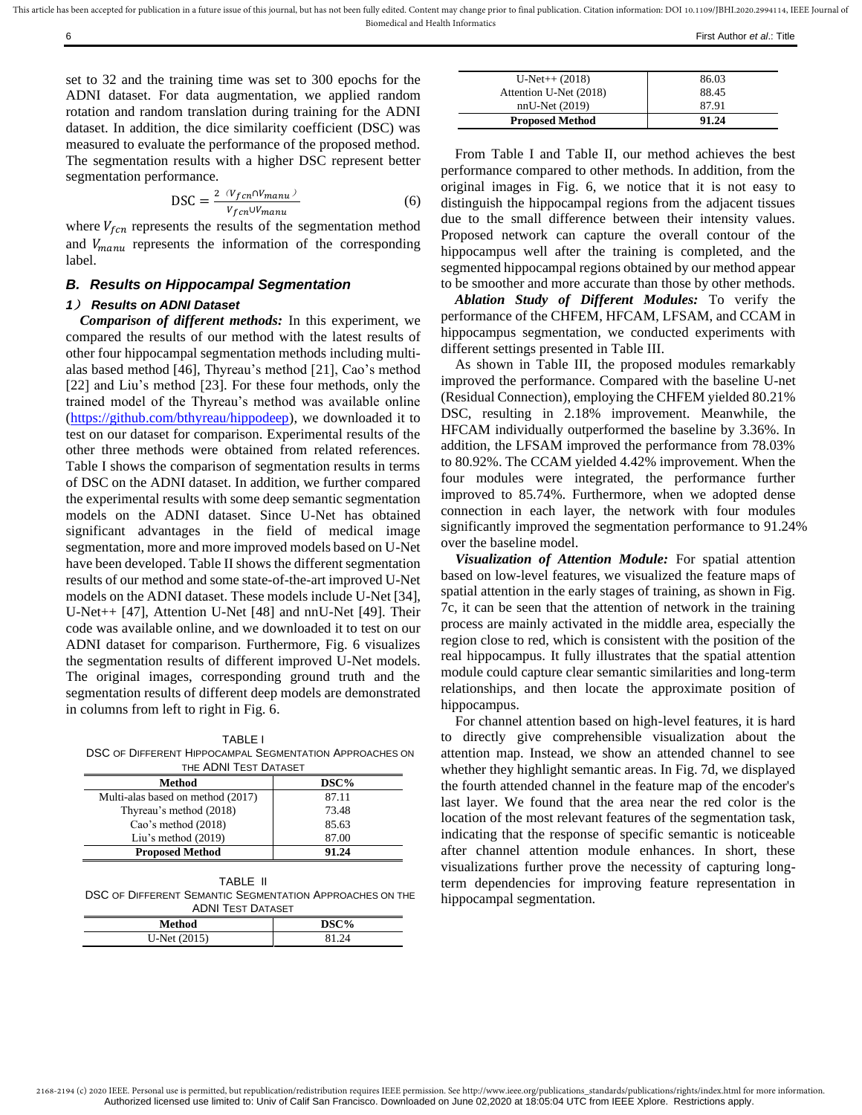set to 32 and the training time was set to 300 epochs for the ADNI dataset. For data augmentation, we applied random rotation and random translation during training for the ADNI dataset. In addition, the dice similarity coefficient (DSC) was measured to evaluate the performance of the proposed method. The segmentation results with a higher DSC represent better segmentation performance.

DSC = 
$$
\frac{2 \left( V_{fcn} \cap V_{manu} \right)}{V_{fcn} \cup V_{manu}}
$$
 (6)

where  $V_{\text{fcn}}$  represents the results of the segmentation method and  $V_{\text{manu}}$  represents the information of the corresponding label.

# *B. Results on Hippocampal Segmentation*

# *1*) *Results on ADNI Dataset*

*Comparison of different methods:* In this experiment, we compared the results of our method with the latest results of other four hippocampal segmentation methods including multialas based method [46], Thyreau's method [21], Cao's method [22] and Liu's method [23]. For these four methods, only the trained model of the Thyreau's method was available online [\(https://github.com/bthyreau/hippodeep\)](https://github.com/bthyreau/hippodeep), we downloaded it to test on our dataset for comparison. Experimental results of the other three methods were obtained from related references. Table I shows the comparison of segmentation results in terms of DSC on the ADNI dataset. In addition, we further compared the experimental results with some deep semantic segmentation models on the ADNI dataset. Since U-Net has obtained significant advantages in the field of medical image segmentation, more and more improved models based on U-Net have been developed. Table II shows the different segmentation results of our method and some state-of-the-art improved U-Net models on the ADNI dataset. These models include U-Net [34], U-Net++ [47], Attention U-Net [48] and nnU-Net [49]. Their code was available online, and we downloaded it to test on our ADNI dataset for comparison. Furthermore, Fig. 6 visualizes the segmentation results of different improved U-Net models. The original images, corresponding ground truth and the segmentation results of different deep models are demonstrated in columns from left to right in Fig. 6.

TABLE I

DSC OF DIFFERENT HIPPOCAMPAL SEGMENTATION APPROACHES ON THE ADNI TEST DATASET

| Method                            | $DSC\%$ |  |
|-----------------------------------|---------|--|
| Multi-alas based on method (2017) | 87.11   |  |
| Thyreau's method (2018)           | 73.48   |  |
| Cao's method (2018)               | 85.63   |  |
| Liu's method $(2019)$             | 87.00   |  |
| <b>Proposed Method</b>            | 91.24   |  |

| TABI F II                                                |
|----------------------------------------------------------|
| DSC OF DIFFERENT SEMANTIC SEGMENTATION APPROACHES ON THE |
| <b>ADNI TEST DATASET</b>                                 |

| ADNI LEST DATASET |       |  |
|-------------------|-------|--|
| Method            | DSC%  |  |
| U-Net (2015)      | 81.24 |  |
|                   |       |  |

| <b>Proposed Method</b> | 91.24 |
|------------------------|-------|
| $nnU-Net(2019)$        | 87.91 |
| Attention U-Net (2018) | 88.45 |
| $U-Net++ (2018)$       | 86.03 |

From Table I and Table II, our method achieves the best performance compared to other methods. In addition, from the original images in Fig. 6, we notice that it is not easy to distinguish the hippocampal regions from the adjacent tissues due to the small difference between their intensity values. Proposed network can capture the overall contour of the hippocampus well after the training is completed, and the segmented hippocampal regions obtained by our method appear to be smoother and more accurate than those by other methods.

*Ablation Study of Different Modules:* To verify the performance of the CHFEM, HFCAM, LFSAM, and CCAM in hippocampus segmentation, we conducted experiments with different settings presented in Table III.

As shown in Table III, the proposed modules remarkably improved the performance. Compared with the baseline U-net (Residual Connection), employing the CHFEM yielded 80.21% DSC, resulting in 2.18% improvement. Meanwhile, the HFCAM individually outperformed the baseline by 3.36%. In addition, the LFSAM improved the performance from 78.03% to 80.92%. The CCAM yielded 4.42% improvement. When the four modules were integrated, the performance further improved to 85.74%. Furthermore, when we adopted dense connection in each layer, the network with four modules significantly improved the segmentation performance to 91.24% over the baseline model.

*Visualization of Attention Module:* For spatial attention based on low-level features, we visualized the feature maps of spatial attention in the early stages of training, as shown in Fig. 7c, it can be seen that the attention of network in the training process are mainly activated in the middle area, especially the region close to red, which is consistent with the position of the real hippocampus. It fully illustrates that the spatial attention module could capture clear semantic similarities and long-term relationships, and then locate the approximate position of hippocampus.

For channel attention based on high-level features, it is hard to directly give comprehensible visualization about the attention map. Instead, we show an attended channel to see whether they highlight semantic areas. In Fig. 7d, we displayed the fourth attended channel in the feature map of the encoder's last layer. We found that the area near the red color is the location of the most relevant features of the segmentation task, indicating that the response of specific semantic is noticeable after channel attention module enhances. In short, these visualizations further prove the necessity of capturing longterm dependencies for improving feature representation in hippocampal segmentation.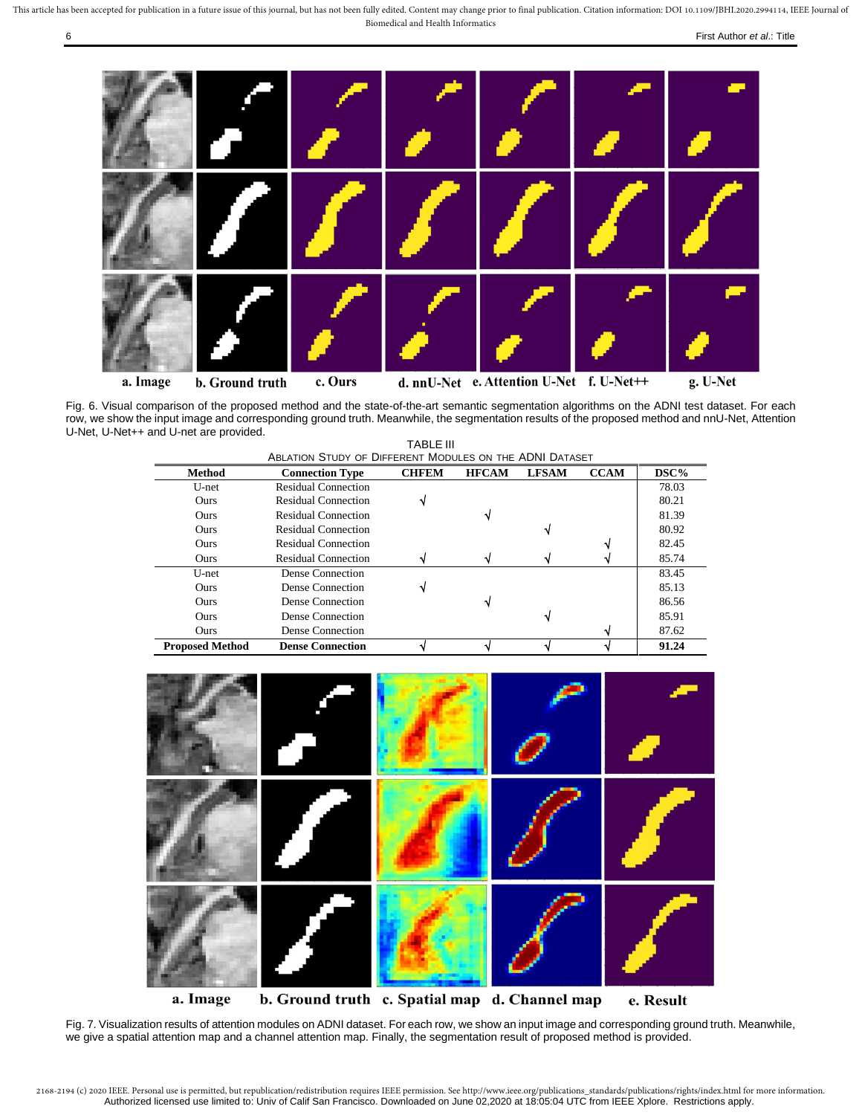

Fig. 6. Visual comparison of the proposed method and the state-of-the-art semantic segmentation algorithms on the ADNI test dataset. For each row, we show the input image and corresponding ground truth. Meanwhile, the segmentation results of the proposed method and nnU-Net, Attention U-Net, U-Net++ and U-net are provided. TABLE III

| 1895 H<br>ABLATION STUDY OF DIFFERENT MODULES ON THE ADNI DATASET |                            |              |              |              |             |         |
|-------------------------------------------------------------------|----------------------------|--------------|--------------|--------------|-------------|---------|
| Method                                                            | <b>Connection Type</b>     | <b>CHFEM</b> | <b>HFCAM</b> | <b>LFSAM</b> | <b>CCAM</b> | $DSC\%$ |
| $U$ -net                                                          | <b>Residual Connection</b> |              |              |              |             | 78.03   |
| <b>Ours</b>                                                       | <b>Residual Connection</b> | ٦I           |              |              |             | 80.21   |
| <b>Ours</b>                                                       | <b>Residual Connection</b> |              |              |              |             | 81.39   |
| <b>Ours</b>                                                       | <b>Residual Connection</b> |              |              |              |             | 80.92   |
| <b>Ours</b>                                                       | <b>Residual Connection</b> |              |              |              |             | 82.45   |
| Ours                                                              | <b>Residual Connection</b> |              |              |              |             | 85.74   |
| U-net                                                             | Dense Connection           |              |              |              |             | 83.45   |
| <b>Ours</b>                                                       | Dense Connection           | ٦J           |              |              |             | 85.13   |
| <b>Ours</b>                                                       | Dense Connection           |              | N            |              |             | 86.56   |
| <b>Ours</b>                                                       | Dense Connection           |              |              |              |             | 85.91   |
| Ours                                                              | Dense Connection           |              |              |              |             | 87.62   |
| <b>Proposed Method</b>                                            | <b>Dense Connection</b>    |              |              |              |             | 91.24   |



a. Image

Fig. 7. Visualization results of attention modules on ADNI dataset. For each row, we show an input image and corresponding ground truth. Meanwhile, we give a spatial attention map and a channel attention map. Finally, the segmentation result of proposed method is provided.

2168-2194 (c) 2020 IEEE. Personal use is permitted, but republication/redistribution requires IEEE permission. See http://www.ieee.org/publications\_standards/publications/rights/index.html for more information.<br>Authorized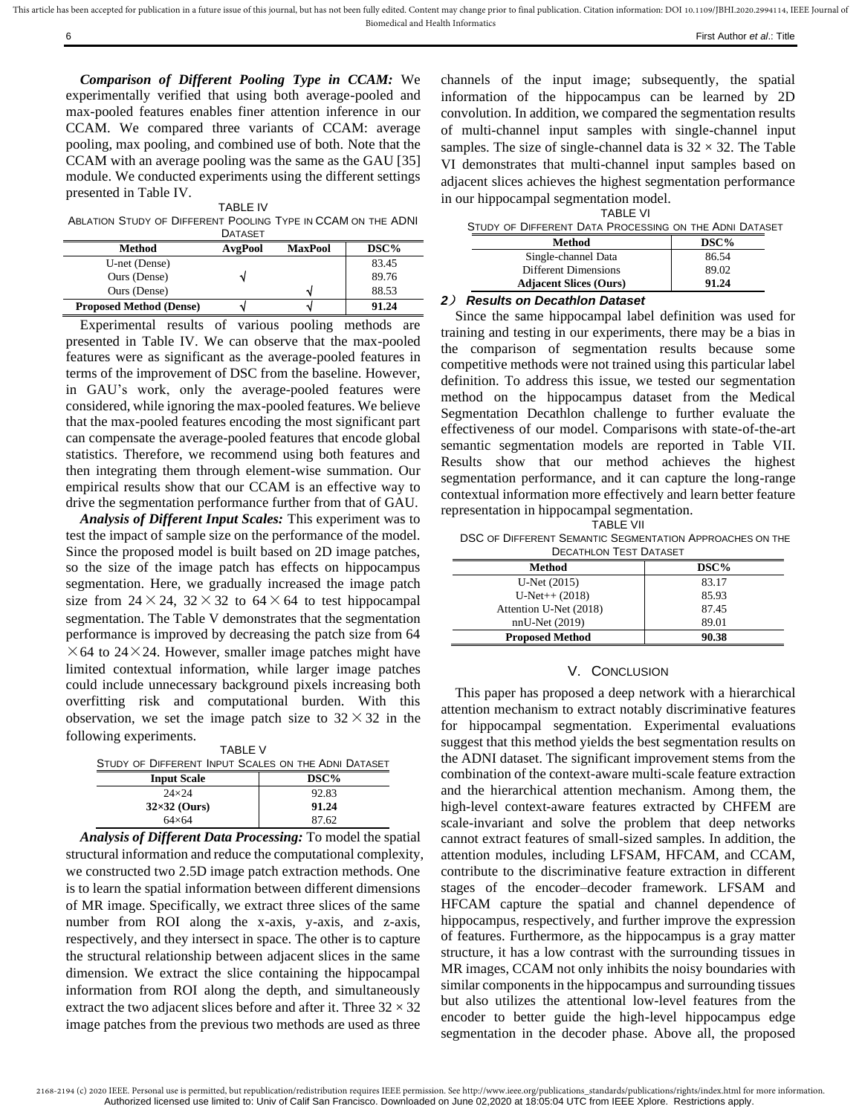Biomedical and Health Informatics

*Comparison of Different Pooling Type in CCAM:* We experimentally verified that using both average-pooled and max-pooled features enables finer attention inference in our CCAM. We compared three variants of CCAM: average pooling, max pooling, and combined use of both. Note that the CCAM with an average pooling was the same as the GAU [35] module. We conducted experiments using the different settings presented in Table IV.

TABLE IV ABLATION STUDY OF DIFFERENT POOLING TYPE IN CCAM ON THE ADNI **DATASET** 

| Method                         | AvgPool | <b>MaxPool</b> | $DSC\%$ |
|--------------------------------|---------|----------------|---------|
| U-net (Dense)                  |         |                | 83.45   |
| Ours (Dense)                   |         |                | 89.76   |
| Ours (Dense)                   |         |                | 88.53   |
| <b>Proposed Method (Dense)</b> |         |                | 91.24   |
|                                |         |                |         |

Experimental results of various pooling methods are presented in Table IV. We can observe that the max-pooled features were as significant as the average-pooled features in terms of the improvement of DSC from the baseline. However, in GAU's work, only the average-pooled features were considered, while ignoring the max-pooled features. We believe that the max-pooled features encoding the most significant part can compensate the average-pooled features that encode global statistics. Therefore, we recommend using both features and then integrating them through element-wise summation. Our empirical results show that our CCAM is an effective way to drive the segmentation performance further from that of GAU.

*Analysis of Different Input Scales:* This experiment was to test the impact of sample size on the performance of the model. Since the proposed model is built based on 2D image patches, so the size of the image patch has effects on hippocampus segmentation. Here, we gradually increased the image patch size from  $24 \times 24$ ,  $32 \times 32$  to  $64 \times 64$  to test hippocampal segmentation. The Table V demonstrates that the segmentation performance is improved by decreasing the patch size from 64  $\times$  64 to 24 $\times$ 24. However, smaller image patches might have limited contextual information, while larger image patches could include unnecessary background pixels increasing both overfitting risk and computational burden. With this observation, we set the image patch size to  $32 \times 32$  in the following experiments.

| <b>TABLE V</b>                                      |       |  |
|-----------------------------------------------------|-------|--|
| STUDY OF DIFFERENT INPUT SCALES ON THE ADNI DATASET |       |  |
| DSC%<br><b>Input Scale</b>                          |       |  |
| $24\times24$                                        | 92.83 |  |
| $32\times32$ (Ours)                                 | 91.24 |  |
| $64\times 64$                                       | 87.62 |  |

*Analysis of Different Data Processing:* To model the spatial structural information and reduce the computational complexity, we constructed two 2.5D image patch extraction methods. One is to learn the spatial information between different dimensions of MR image. Specifically, we extract three slices of the same number from ROI along the x-axis, y-axis, and z-axis, respectively, and they intersect in space. The other is to capture the structural relationship between adjacent slices in the same dimension. We extract the slice containing the hippocampal information from ROI along the depth, and simultaneously extract the two adjacent slices before and after it. Three  $32 \times 32$ image patches from the previous two methods are used as three

channels of the input image; subsequently, the spatial information of the hippocampus can be learned by 2D convolution. In addition, we compared the segmentation results of multi-channel input samples with single-channel input samples. The size of single-channel data is  $32 \times 32$ . The Table VI demonstrates that multi-channel input samples based on adjacent slices achieves the highest segmentation performance in our hippocampal segmentation model.

| TABI F VI                                              |         |  |
|--------------------------------------------------------|---------|--|
| STUDY OF DIFFERENT DATA PROCESSING ON THE ADNI DATASET |         |  |
| Method                                                 | $DSC\%$ |  |
| Single-channel Data                                    | 86.54   |  |
| Different Dimensions                                   | 89.02   |  |
| <b>Adjacent Slices (Ours)</b>                          | 91.24   |  |

## *2*) *Results on Decathlon Dataset*

Since the same hippocampal label definition was used for training and testing in our experiments, there may be a bias in the comparison of segmentation results because some competitive methods were not trained using this particular label definition. To address this issue, we tested our segmentation method on the hippocampus dataset from the Medical Segmentation Decathlon challenge to further evaluate the effectiveness of our model. Comparisons with state-of-the-art semantic segmentation models are reported in Table VII. Results show that our method achieves the highest segmentation performance, and it can capture the long-range contextual information more effectively and learn better feature representation in hippocampal segmentation.

TABLE VII

DSC OF DIFFERENT SEMANTIC SEGMENTATION APPROACHES ON THE DECATHLON TEST DATASET

| Method                 | DSC%  |
|------------------------|-------|
| U-Net (2015)           | 83.17 |
| $U-Net++ (2018)$       | 85.93 |
| Attention U-Net (2018) | 87.45 |
| $nnU-Net(2019)$        | 89.01 |
| <b>Proposed Method</b> | 90.38 |

### V. CONCLUSION

This paper has proposed a deep network with a hierarchical attention mechanism to extract notably discriminative features for hippocampal segmentation. Experimental evaluations suggest that this method yields the best segmentation results on the ADNI dataset. The significant improvement stems from the combination of the context-aware multi-scale feature extraction and the hierarchical attention mechanism. Among them, the high-level context-aware features extracted by CHFEM are scale-invariant and solve the problem that deep networks cannot extract features of small-sized samples. In addition, the attention modules, including LFSAM, HFCAM, and CCAM, contribute to the discriminative feature extraction in different stages of the encoder–decoder framework. LFSAM and HFCAM capture the spatial and channel dependence of hippocampus, respectively, and further improve the expression of features. Furthermore, as the hippocampus is a gray matter structure, it has a low contrast with the surrounding tissues in MR images, CCAM not only inhibits the noisy boundaries with similar components in the hippocampus and surrounding tissues but also utilizes the attentional low-level features from the encoder to better guide the high-level hippocampus edge segmentation in the decoder phase. Above all, the proposed